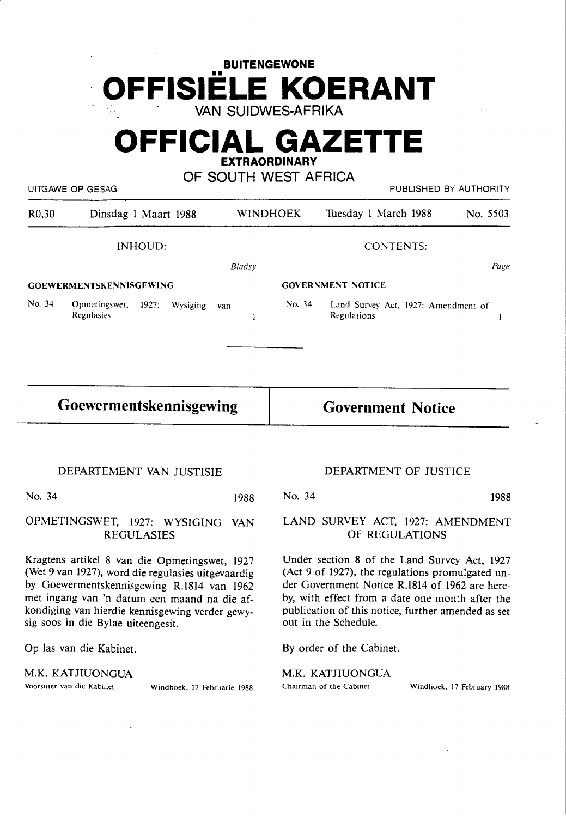# **BUITENGEWONE OFFISIELE KOERANT**  VAN SUIDWES-AFRIKA

# **OFFICIAL GAZETTE EXTRAORDINARY**

OF SOUTH WEST AFRICA

UITGAWE OP GESAG PUBLISHED BY AUTHORITY

| R <sub>0</sub> ,30 | Dinsdag 1 Maart 1988                             |               | <b>WINDHOEK</b> | Tuesday 1 March 1988                               | No. 5503 |
|--------------------|--------------------------------------------------|---------------|-----------------|----------------------------------------------------|----------|
|                    | INHOUD:                                          |               |                 | <b>CONTENTS:</b>                                   |          |
|                    |                                                  | <b>Bladsy</b> |                 |                                                    | Page     |
|                    | <b>GOEWERMENTSKENNISGEWING</b>                   |               |                 | <b>GOVERNMENT NOTICE</b>                           |          |
| No. 34             | Opmetingswet,<br>1927:<br>Wysiging<br>Regulasies | van<br>1      | No. 34          | Land Survey Act, 1927: Amendment of<br>Regulations |          |
|                    |                                                  |               |                 |                                                    |          |
|                    | Goewermentskennisgewing                          |               |                 | <b>Government Notice</b>                           |          |
|                    | DEPARTEMENT VAN JUSTISIE                         |               |                 | DEPARTMENT OF JUSTICE                              |          |

OPMETINGSWET, 1927: **WYSIGING VAN**  REGULASIES

Kragtens artikel 8 van die Opmetingswet, 1927 (Wet 9 van 1927), word die regulasies uitgevaardig by Goewermentskennisgewing R.1814 van 1962 met ingang van 'n datum een maand na die afkondiging van hierdie kennisgewing verder gewysig soos in die Bylae uiteengesit.

Op las van die Kabinet.

**M.K. KATJIUONGUA**<br>Voorsitter van die Kabinet

Windhoek, 17 Februarie 1988

LAND SURVEY ACT, 1927: AMENDMENT OF REGULATIONS

Under section 8 of the Land Survey Act, 1927 (Act 9 of 1927), the regulations promulgated under Government Notice R.1814 of 1962 are hereby, with effect from a date one month after the publication of this notice, further amended as set out in the Schedule.

By order of the Cabinet.

**M.K.** KATJIUONGUA

Chairman of the Cabinet Windhoek, 17 February 1988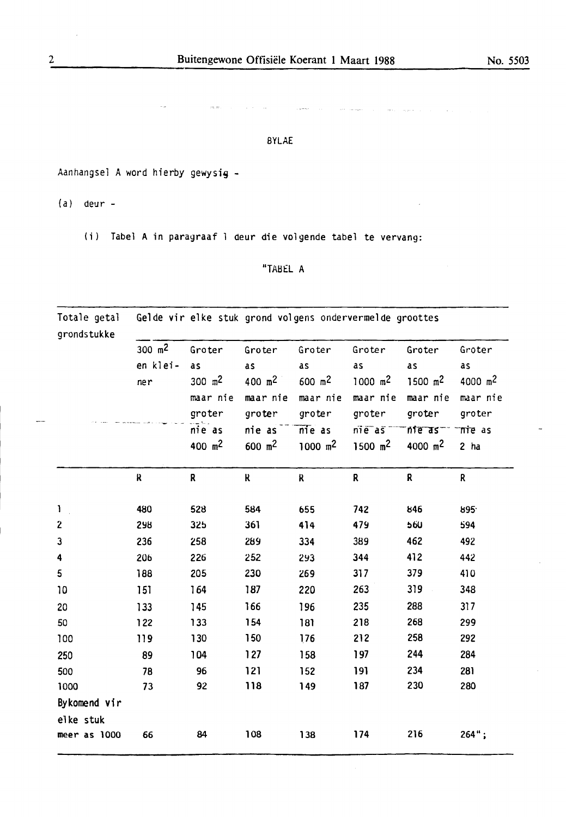$\label{eq:1} \hat{f}_{\rm{max}}(t) = \hat{f}_{\rm{max}}(t)$  $\frac{1}{2}$ 

### BYLAE

Aanhangsel A word hierby gewysig -

(a) deur -

(i) Tabel A in paragraaf l deur die volgende tabel te vervang:

## "TAB£L A

| Totale getal<br>grondstukke | Gelde vir elke stuk grond volgens ondervermelde groottes |           |                    |                     |                      |                  |                     |  |  |
|-----------------------------|----------------------------------------------------------|-----------|--------------------|---------------------|----------------------|------------------|---------------------|--|--|
|                             | 300 $m2$                                                 | Groter    | Groter             | Groter              | Groter               | Groter           | Groter              |  |  |
|                             | en klei-                                                 | as        | as                 | as                  | as                   | as               | as                  |  |  |
|                             | ner                                                      | 300 $m2$  | 400 m <sup>2</sup> | $600 \, \text{m}^2$ | $1000 \, \text{m}^2$ | 1500 $m2$        | 4000 m <sup>2</sup> |  |  |
|                             |                                                          | maar nie  | maar nie           | maar nie            | maar nie             | maar nie         | maar nie            |  |  |
|                             |                                                          | groter    | groter             | groter              | groter               | groter           | groter              |  |  |
|                             |                                                          | nie as    | nie as             | $nie$ as            | nieas                | n <sub>ter</sub> | Tire as             |  |  |
|                             |                                                          | 400 $m^2$ | 600 $m^2$          | 1000 m <sup>2</sup> | 1500 m <sup>2</sup>  | 4000 $m2$        | $2$ ha              |  |  |
|                             | ĸ                                                        | R         | ĸ                  | $\mathsf R$         | ${\bf R}$            | R                | $\mathbf{R}$        |  |  |
| ı                           | 480                                                      | 528       | 584                | 655                 | 742                  | 846              | 895                 |  |  |
| $\mathbf{z}$                | 298                                                      | 325       | 361                | 414                 | 479                  | 560              | 594                 |  |  |
| 3                           | 236                                                      | 258       | 289                | 334                 | 389                  | 462              | 492                 |  |  |
| 4                           | 206                                                      | 226       | 252                | 293                 | 344                  | 412              | 442                 |  |  |
| 5                           | 188                                                      | 205       | 230                | 269                 | 317                  | 379              | 410                 |  |  |
| 10                          | 151                                                      | 164       | 187                | 220                 | 263                  | 319              | 348                 |  |  |
| 20                          | 133                                                      | 145       | 166                | 196                 | 235                  | 288              | 317                 |  |  |
| 50                          | 122                                                      | 133       | 154                | 181                 | 218                  | 268              | 299                 |  |  |
| 100                         | 119                                                      | 130       | 150                | 176                 | 212                  | 258              | 292                 |  |  |
| 250                         | 89                                                       | 104       | $127$              | 158                 | 197                  | 244              | 284                 |  |  |
| 500                         | 78                                                       | 96        | $121$              | 152                 | 191                  | 234              | 281                 |  |  |
| 1000                        | 73                                                       | 92        | 118                | 149                 | 187                  | 230              | 280                 |  |  |
| Bykomend vir                |                                                          |           |                    |                     |                      |                  |                     |  |  |
| elke stuk                   |                                                          |           |                    |                     |                      |                  |                     |  |  |
| meer as 1000                | 66                                                       | 84        | 108                | 138                 | 174                  | 216              | $264$ ";            |  |  |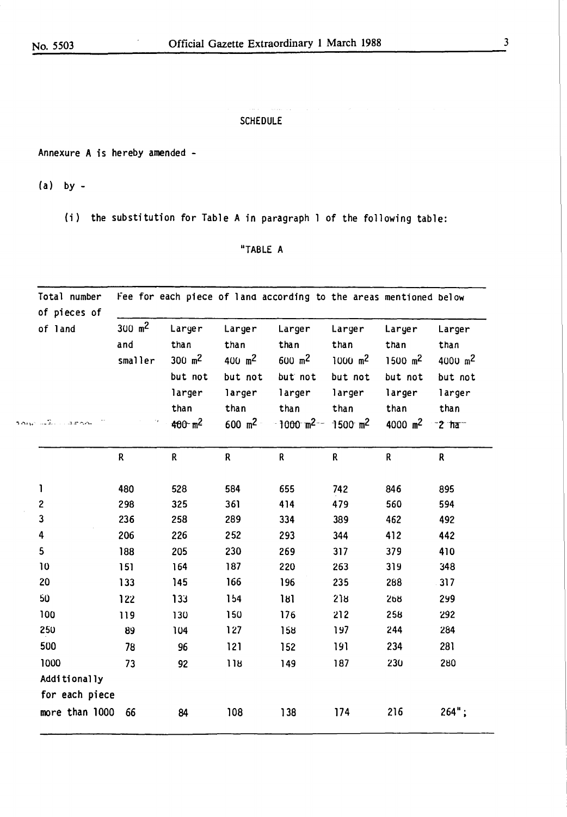where  $\hat{f}(\hat{x})$  is a subset of  $\hat{f}(\hat{x})$ 

### in a **SCHEDULE**

Annexure A is hereby amended -

 $\overline{\phantom{a}}$ 

 $(a)$  by  $-$ 

(i) the substitution for Table A in paragraph 1 of the following table:

## "TABLE A

| Total number<br>of pieces of           |                                       |                                                                         |                                                                               | Fee for each piece of land according to the areas mentioned below                                                  |                                                                     |                                                                                   |                                                                                   |
|----------------------------------------|---------------------------------------|-------------------------------------------------------------------------|-------------------------------------------------------------------------------|--------------------------------------------------------------------------------------------------------------------|---------------------------------------------------------------------|-----------------------------------------------------------------------------------|-----------------------------------------------------------------------------------|
| of land<br>າດເມື່ອໃດ<br>$\sim$ 3 m m m | $300 \, \text{m}^2$<br>and<br>smaller | Larger<br>than<br>300 $m^2$<br>but not<br>larger<br>than<br>$400 - m^2$ | Larger<br>than<br>400 $m^2$<br>but not<br>larger<br>than<br>$600 \text{ m}^2$ | Larger<br>than<br>$600 \, \text{m}^2$<br>but not<br>larger<br>than<br>$-1000$ m <sup>2--</sup> 1500 m <sup>2</sup> | Larger<br>than<br>$1000 \, \text{m}^2$<br>but not<br>larger<br>than | Larger<br>than<br>$1500 \, \text{m}^2$<br>but not<br>larger<br>than<br>4000 $m^2$ | Larger<br>than<br>$4000 \, \text{m}^2$<br>but not<br>larger<br>than<br>$-2$ $\pi$ |
|                                        | $\mathsf R$                           | R                                                                       | R                                                                             | R                                                                                                                  | R                                                                   | R                                                                                 | $\mathsf R$                                                                       |
|                                        |                                       |                                                                         |                                                                               |                                                                                                                    |                                                                     |                                                                                   |                                                                                   |
| 1                                      | 480                                   | 528                                                                     | 584                                                                           | 655                                                                                                                | 742                                                                 | 846                                                                               | 895                                                                               |
| $\mathbf{2}$                           | 298                                   | 325                                                                     | 361                                                                           | 414                                                                                                                | 479                                                                 | 560                                                                               | 594                                                                               |
| $\mathbf{3}$                           | 236                                   | 258                                                                     | 289                                                                           | 334                                                                                                                | 389                                                                 | 462                                                                               | 492                                                                               |
| 4                                      | 206                                   | 226                                                                     | 252                                                                           | 293                                                                                                                | 344                                                                 | 412                                                                               | 442                                                                               |
| 5                                      | 188                                   | 205                                                                     | 230                                                                           | 269                                                                                                                | 317                                                                 | 379                                                                               | 410                                                                               |
| 10                                     | 151                                   | 164                                                                     | 187                                                                           | 220                                                                                                                | 263                                                                 | 319                                                                               | 348                                                                               |
| 20                                     | 133                                   | 145                                                                     | 166                                                                           | 196                                                                                                                | 235                                                                 | 288                                                                               | 317                                                                               |
| 50                                     | 122                                   | 133                                                                     | 154                                                                           | 181                                                                                                                | 218                                                                 | 268                                                                               | 299                                                                               |
| 100                                    | 119                                   | 130                                                                     | 150                                                                           | 176                                                                                                                | 212                                                                 | 258                                                                               | 292                                                                               |
| 250                                    | 89                                    | 104                                                                     | 127                                                                           | 158                                                                                                                | 197                                                                 | 244                                                                               | 284                                                                               |
| 500                                    | 78                                    | 96                                                                      | 121                                                                           | 152                                                                                                                | 191                                                                 | 234                                                                               | 281                                                                               |
| 1000                                   | 73                                    | 92                                                                      | 118                                                                           | 149                                                                                                                | 187                                                                 | 230                                                                               | 280                                                                               |
| Additionally                           |                                       |                                                                         |                                                                               |                                                                                                                    |                                                                     |                                                                                   |                                                                                   |
| for each piece                         |                                       |                                                                         |                                                                               |                                                                                                                    |                                                                     |                                                                                   |                                                                                   |
| more than 1000                         | 66                                    | 84                                                                      | 108                                                                           | 138                                                                                                                | 174                                                                 | 216                                                                               | $264"$ ;                                                                          |

 $\overline{\mathbf{3}}$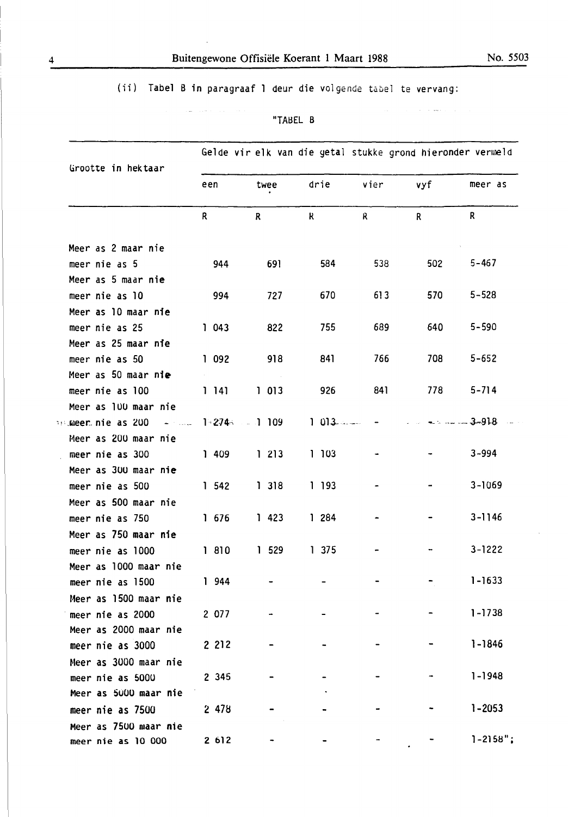$\overline{a}$ 

 $\label{eq:3.1} \mathcal{L}_{\mathcal{F}}(\mathbf{a}^{\dagger},\mathbf{a}^{\dagger}) = \mathcal{L}_{\mathcal{F}}(\mathbf{a}^{\dagger},\mathbf{a}^{\dagger}) = \mathcal{L}_{\mathcal{F}}(\mathbf{a}^{\dagger},\mathbf{a}^{\dagger})$ 

| Grootte in hektaar                      |                 |              |             | Gelde vir elk van die getal stukke grond hieronder vermeld |                  |               |  |
|-----------------------------------------|-----------------|--------------|-------------|------------------------------------------------------------|------------------|---------------|--|
|                                         | een             | twee         | drie        | vier                                                       | vyf              | meer as       |  |
|                                         | $\mathsf{R}$    | $\mathbf{R}$ | $\mathbf R$ | $\mathsf{R}$                                               | $\mathsf{R}$     | $\mathsf{R}$  |  |
| Meer as 2 maar nie                      |                 |              |             |                                                            |                  |               |  |
| meer nie as 5                           | 944             | 691          | 584         | 538                                                        | 502              | $5 - 467$     |  |
| Meer as 5 maar nie                      |                 |              |             |                                                            |                  |               |  |
| meer nie as 10                          | 994             | 727          | 670         | 613                                                        | 570              | $5 - 528$     |  |
| Meer as 10 maar nie                     |                 |              |             |                                                            |                  |               |  |
| meer nie as 25                          | 1043            | 822          | 755         | 689                                                        | 640              | $5 - 590$     |  |
| Meer as 25 maar nie                     |                 |              |             |                                                            |                  |               |  |
| meer nie as 50                          | 1092            | 918          | 841         | 766                                                        | 708              | $5 - 652$     |  |
| Meer as 50 maar nie                     |                 |              |             |                                                            |                  |               |  |
| meer nie as 100                         | 1141            | 1013         | 926         | 841                                                        | 778              | $5 - 714$     |  |
| Meer as 100 maar nie                    |                 |              |             |                                                            |                  |               |  |
| <b>Soluteer nie as 200 met deze der</b> | $142744 = 1109$ |              |             |                                                            | $1.013 -  1.013$ |               |  |
| Meer as 200 maar nie                    |                 |              |             |                                                            |                  |               |  |
| meer nie as 300                         | 1409            | 1213         | 1103        |                                                            |                  | $3 - 994$     |  |
| Meer as 300 maar nie                    |                 |              |             |                                                            |                  |               |  |
| meer nie as 500                         | 1542            | 1318         | 1 193       |                                                            |                  | $3 - 1069$    |  |
| Meer as 500 maar nie                    |                 |              |             |                                                            |                  |               |  |
| meer nie as 750                         | 1676            | 1423         | 1 284       |                                                            |                  | $3 - 1146$    |  |
| Meer as 750 maar nie                    |                 |              |             |                                                            |                  |               |  |
| meer nie as 1000                        | 1 810           | 1.529        | 1375        |                                                            |                  | $3 - 1222$    |  |
| Meer as 1000 maar nie                   |                 |              |             |                                                            |                  |               |  |
| meer nie as 1500                        | 1944            |              |             |                                                            |                  | $1 - 1633$    |  |
| Meer as 1500 maar nie                   |                 |              |             |                                                            |                  |               |  |
| meer nie as 2000                        | 2 077           |              |             |                                                            |                  | $1 - 1738$    |  |
| Meer as 2000 maar nie                   |                 |              |             |                                                            |                  |               |  |
| meer nie as 3000                        | 2 2 1 2         |              |             |                                                            |                  | $1 - 1846$    |  |
| Meer as 3000 maar nie                   |                 |              |             |                                                            |                  |               |  |
| meer nie as 5000                        | 2 3 4 5         |              |             |                                                            |                  | $1 - 1948$    |  |
| Meer as 5000 maar nie                   |                 |              |             |                                                            |                  |               |  |
| meer nie as 7500                        | 2478            |              |             |                                                            |                  | $1 - 2053$    |  |
| Meer as 7500 maar nie                   |                 |              |             |                                                            |                  |               |  |
| meer nie as 10 000                      | 2612            |              |             |                                                            |                  | $1 - 2158$ "; |  |

 $\hat{f}_{\rm eff}$  and  $\hat{f}_{\rm eff}$  are  $\hat{f}_{\rm eff}$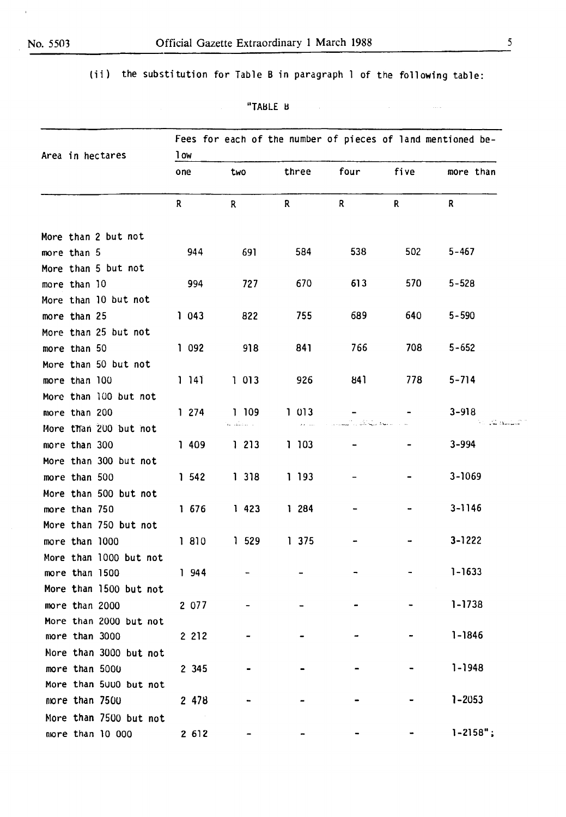$\bar{1}$ 

(ii) the substitution for Table B in paragraph 1 of the following table:

| "TABLE B | ٠ |
|----------|---|
|----------|---|

| Area in hectares       | Fees for each of the number of pieces of land mentioned be-<br>1 ow |            |         |              |      |               |  |  |
|------------------------|---------------------------------------------------------------------|------------|---------|--------------|------|---------------|--|--|
|                        | one                                                                 | two        | three   | four         | five | more than     |  |  |
|                        | R.                                                                  | R.         | R.      | $\mathsf{R}$ | R.   | R.            |  |  |
| More than 2 but not    |                                                                     |            |         |              |      |               |  |  |
| more than 5            | 944                                                                 | 691        | 584     | 538          | 502  | $5 - 467$     |  |  |
| More than 5 but not    |                                                                     |            |         |              |      |               |  |  |
| more than 10           | 994                                                                 | 727        | 670     | 613          | 570  | $5 - 528$     |  |  |
| More than 10 but not   |                                                                     |            |         |              |      |               |  |  |
| more than 25           | 1043                                                                | 822        | 755     | 689          | 640  | $5 - 590$     |  |  |
| More than 25 but not   |                                                                     |            |         |              |      |               |  |  |
| more than 50           | 1092                                                                | 918        | 841     | 766          | 708  | $5 - 652$     |  |  |
| More than 50 but not   |                                                                     |            |         |              |      |               |  |  |
| more than 100          | 1 141                                                               | 1013       | 926     | 841          | 778  | $5 - 714$     |  |  |
| More than 100 but not  |                                                                     |            |         |              |      |               |  |  |
| more than 200          | 1274                                                                | 1 109      | 1013    |              |      | $3 - 918$     |  |  |
| More than 200 but not  |                                                                     | المحتفظ عا | التباعي |              |      |               |  |  |
| more than 300          | 1409                                                                | 1 213      | 1 103   |              |      | $3 - 994$     |  |  |
| More than 300 but not  |                                                                     |            |         |              |      |               |  |  |
| more than 500          | 1542                                                                | 1318       | 1 193   |              |      | $3 - 1069$    |  |  |
| More than 500 but not  |                                                                     |            |         |              |      |               |  |  |
| more than 750          | 1 676                                                               | 1423       | 1284    |              |      | $3 - 1146$    |  |  |
| More than 750 but not  |                                                                     |            |         |              |      |               |  |  |
| more than 1000         | 1 810                                                               | 1.529      | 1 375   |              |      | $3 - 1222$    |  |  |
| More than 1000 but not |                                                                     |            |         |              |      |               |  |  |
| more than 1500         | 1 944                                                               |            |         |              |      | $1 - 1633$    |  |  |
| More than 1500 but not |                                                                     |            |         |              |      |               |  |  |
| more than 2000         | 2 077                                                               |            |         |              |      | $1 - 1738$    |  |  |
| More than 2000 but not |                                                                     |            |         |              |      |               |  |  |
| more than 3000         | 2 2 1 2                                                             |            |         |              |      | $1 - 1846$    |  |  |
| More than 3000 but not |                                                                     |            |         |              |      |               |  |  |
| more than 5000         | 2 3 4 5                                                             |            |         |              |      | $1 - 1948$    |  |  |
| More than 5000 but not |                                                                     |            |         |              |      |               |  |  |
| more than 7500         | 2 478                                                               |            |         |              |      | $1 - 2053$    |  |  |
| More than 7500 but not |                                                                     |            |         |              |      |               |  |  |
| more than 10 000       | 2 6 1 2                                                             |            |         |              |      | $1 - 2158"$ ; |  |  |

 $\mathcal{L}_{\text{max}}$  and  $\mathcal{L}_{\text{max}}$  . The  $\mathcal{L}_{\text{max}}$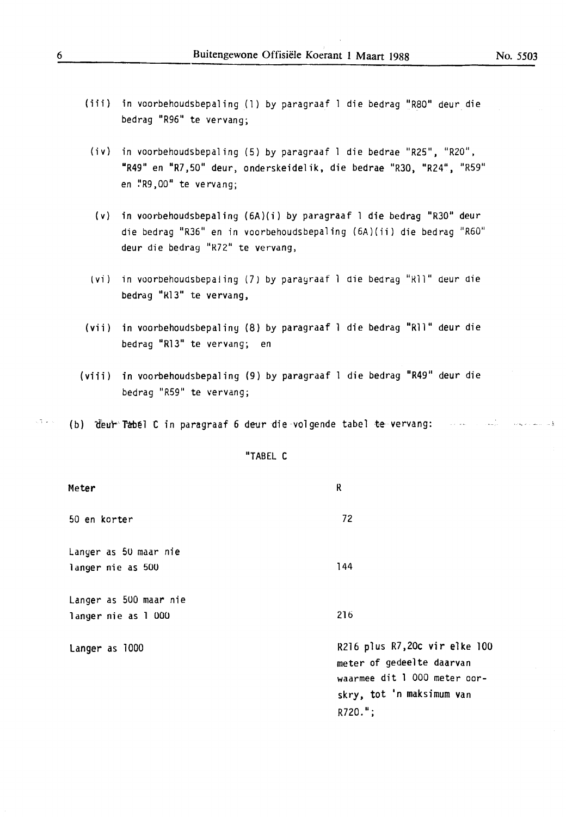- (iii) in voorbehoudsbepaling (1) by paragraaf l die bedrag "R80" deur die bedrag "R96" te vervang;
- (iv) in voorbehoudsbepaling (5) by paragraaf 1 die bedrae "R25", "R20", 11R49" en "R7,50" deur, onderskeidelik, die bedrae "R30, "R24", "R59" en !'R9 ,00" te vervang;
- (v) in voorbehoudsbepaling (6A)(i) by paragraaf l die bedrag "R30" deur die bedrag "R36" en in voorbehoudsbepaling (6A)(ii) die bedrag "R60" deur die bedrag "R72" te vervang,
- (vi) in voorbehoudsbepaling (7) by paragraaf 1 die bedrag "R11" deur die bedrag "Rl3" te vervang,
- (vii) in voorbehoudsbepaliny (8) by paragraaf l die bedrag "Rll" deur die bedrag "Rl3" te vervang; en
- (viii) in voorbehoudsbepaling (9) by paragraaf l die bedrag "R49" deur die bedrag "R59" te vervang;
- $\sim 3$  ,  $\star$  ,  $\sim$

(b) deut Tabel C in paragraaf 6 deur die volgende tabel te vervang: waard waard waard as

"TABEL C

| Meter                                         | ĸ                                                                                                                                     |
|-----------------------------------------------|---------------------------------------------------------------------------------------------------------------------------------------|
| 50 en korter                                  | 72                                                                                                                                    |
| Langer as 50 maar nie<br>langer nie as 500    | 144                                                                                                                                   |
| Langer as 500 maar nie<br>langer nie as 1 000 | 216                                                                                                                                   |
| Langer as 1000                                | R216 plus R7,20c vir elke 100<br>meter of gedeelte daarvan<br>waarmee dit 1 000 meter oor-<br>skry, tot 'n maksimum van<br>$R720."$ ; |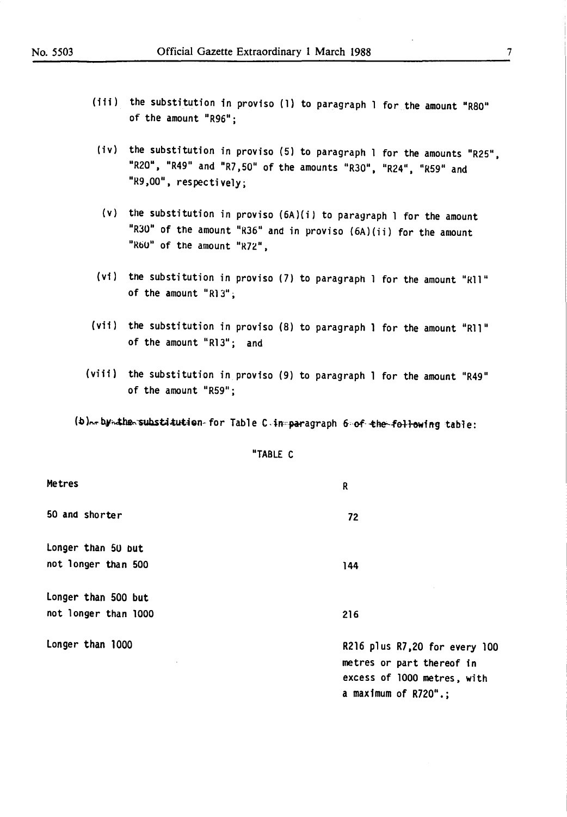- (iii) the substitution in proviso (1) to paragraph 1 for the amount "R80" of the amount "R96";
- (iv) the substitution in proviso (5) to paragraph 1 for the amounts "R25", "R20", "R49" and "R7,50" of the amounts "R30", "R24", "R59" and " $R9,00$ ", respectively;
- (v) the substitution in proviso  $(6A)(i)$  to paragraph 1 for the amount "R30" of the amount "R36" and in proviso  $(6A)(ii)$  for the amount " $R60"$  of the amount " $R72"$ ,
- (vi) the substitution in proviso (7) to paragraph 1 for the amount "R11" of the amount "Rl3";
- (vii) the substitution in proviso (8) to paragraph 1 for the amount "R11" of the amount "R13"; and
- (viii) the substitution in proviso (9) to paragraph 1 for the amount "R49" of the amount "R59";

R

72

144

216

(b)...by ..the substitution for Table C in paragraph 6 of the following table:

not longer than 500 Longer than 500 but not longer than 1000

Longer than 1000

Metres

50 and shorter

Longer than 5U Dut

**11TABLE** C

R216 plus R7,20 for every 100 metres or part thereof in excess of 1000 metres. with a maximum of  $R720$ ".;

7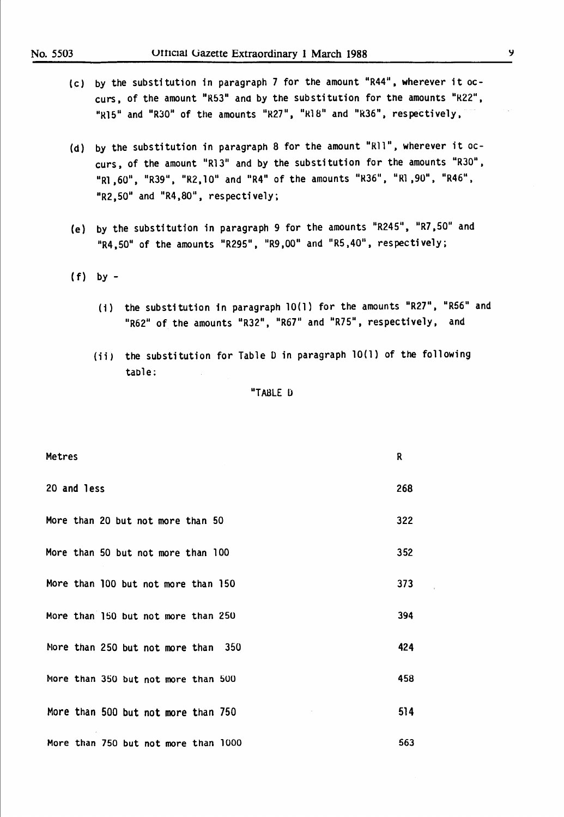- (c) by the substitution in paragraph 7 for the amount "R44", wherever it occurs, of the amount "R53" and by the substitution for the amounts "R22", "Rl5" and "R30" of the amounts "R27", "Rl8" and "R36", respectively,
- (d) by the substitution in paragraph 8 for the amount "Rll", wherever it occurs, of the amount "Rl3" and by the substitution for the amounts "R30", "Rl, 60", "R39", "R2, 10" and "R4" of the amounts "R36", "Rl, 90", "R46", "R2,50" and "R4,80", respectively;
- (e) by the substitution in paragraph 9 for the amounts "R245", "R7,50" and "R4,50" of the amounts "R295", "R9,00" and "R5,40", respectively;
- $(f)$  by  $-$ 
	- (i) the substitution in paragraph 10(1) for the amounts "R27", "R56" and "R62" of the amounts "R32", "R67" and "R75", respectively, and
	- (ii) the substitution for Table Din paragraph 10(1) of the following table:

"TABLE D

| Metres                               | R   |
|--------------------------------------|-----|
| 20 and less                          | 268 |
| More than 20 but not more than 50    | 322 |
| More than 50 but not more than 100   | 352 |
| More than 100 but not more than 150  | 373 |
| More than 150 but not more than 250  | 394 |
| More than 250 but not more than 350  | 424 |
| More than 350 but not more than 500  | 458 |
| More than 500 but not more than 750  | 514 |
| More than 750 but not more than 1000 | 563 |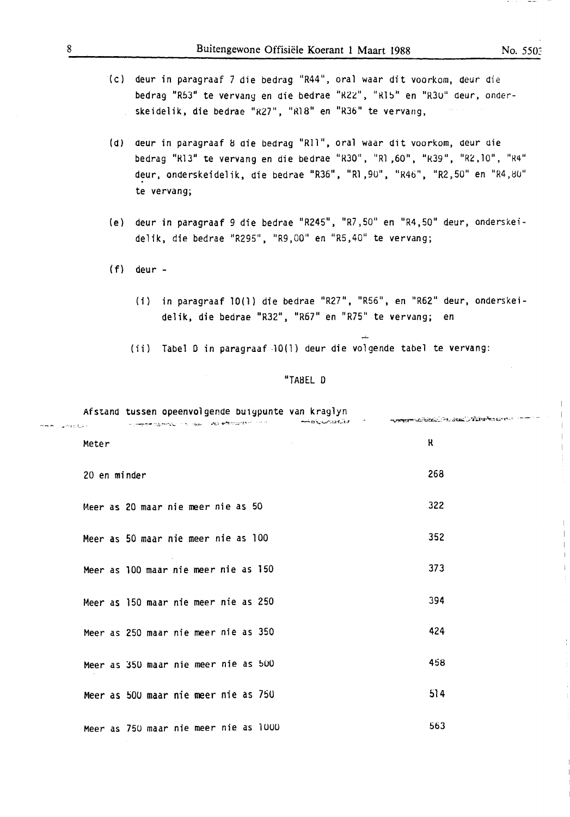- (cl deur in paragraaf 7 die bedrag "R44", oral waar dit voorkom, deur die bedrag "R53" te vervang en die bedrae "R22", "R15" en "R30" deur, onderskeidelik, die bedrae "R27", "R18" en "R36" te vervang,
- (d) deur in paragraaf 8 oie bedrag "Rll", oral waar dit voorkom, oeur aie bedrag "R13" te vervang en die bedrae "R30", "R1,60", "R39", "R2,10", "R4" deur, onderskeidelik, die bedrae "R36", "Rl,90", "R46", "R2,50" en "R4,80" te vervang;
- (e) deur in paragraaf 9 die bedrae "R245", "R7,50" en "R4,50" deur, onderskeidelik, die bedrae "R295", "R9,00" en "R5,40" te vervang;
- $(f)$  deur -
	- (i) in paragraaf 10(1) die bedrae "R27", "R56", en "R62" deur, onderskeidelik, die bedrae "R32", "R67" en "R75" te vervang; en
	- (ii) Tabel O in paragraaf -10(1) deur die volgende tabel te vervang:

### "TABEL D

Afstand tussen opeenvolgende buigpunte van kraglyn www.communication.com/home/home-<sup>~</sup>.·"- \_ ....... ··•- ·,;;,\_,~ -"'l.'.l ... ~ ·.!' .:.;. ~" /' • -- • \_\_,.....\_ n "i...:-·.i.-,...:.u-:r.,..~V  $\sim$   $\sim$   $\sim$   $\sim$   $\sim$   $\sim$   $\sim$ Meter Research and the set of the set of the set of the set of the set of the set of the set of the set of the 20 en minder 268 Meer as 20 maar nie meer nie as 50 322 Meer as 50 maar nie meer nie as 100 352 Meer as 100 maar nie meer nie as 150 373 Meer as 150 maar nie meer nie as 250 394 Meer as 250 maar nie meer nie as 350 424 Meer as 350 maar nie meer nie as 500 deur na in 1988 was 458 Meer as 500 maar nie meer nie as 750  $514$ Meer as 750 maar nie meer nie as lUUU 563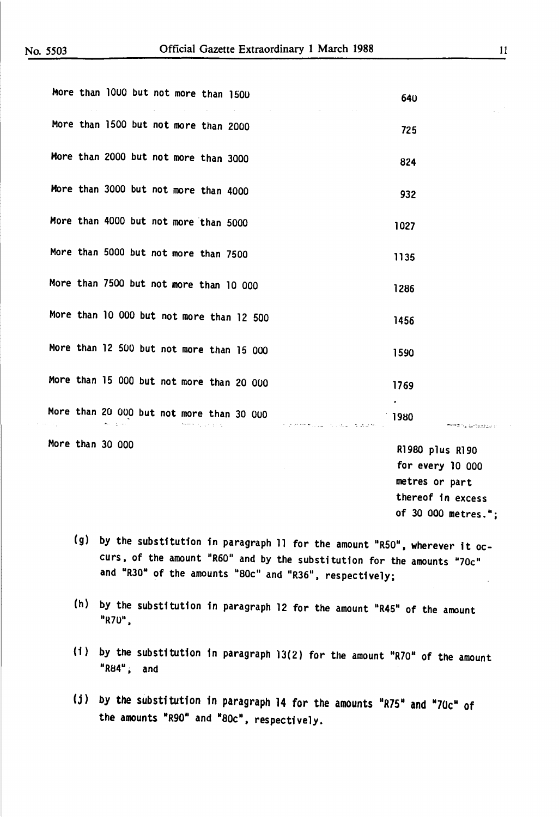|  |               |  | More than 1000 but not more than 1500                           |  | the control of the control of the | 640                      |
|--|---------------|--|-----------------------------------------------------------------|--|-----------------------------------|--------------------------|
|  |               |  | More than 1500 but not more than 2000                           |  |                                   | 725                      |
|  |               |  | More than 2000 but not more than 3000                           |  |                                   | 824                      |
|  |               |  | More than 3000 but not more than 4000                           |  |                                   | 932                      |
|  |               |  | More than 4000 but not more than 5000                           |  |                                   | 1027                     |
|  |               |  | More than 5000 but not more than 7500                           |  |                                   | 1135                     |
|  |               |  | More than 7500 but not more than 10 000                         |  |                                   | 1286                     |
|  |               |  | More than 10 000 but not more than 12 500                       |  |                                   | 1456                     |
|  |               |  | More than 12 500 but not more than 15 000                       |  |                                   | 1590                     |
|  |               |  | More than 15 000 but not more than 20 000                       |  |                                   | 1769                     |
|  | Maximum cases |  | More than 20 000 but not more than 30 000<br>meeting university |  |                                   | 1980<br>mmzinuluntzatu v |
|  |               |  |                                                                 |  |                                   |                          |

More than 30 000

Rl 980 plus Rl 90 for every 10 000 metres or part thereof in excess of 30 000 metres.";

- (g) by the substitution in paragraph 11 for the amount "R50", wherever it occurs, of the amount "R60" and by the substitution for the amounts "70 $c$ " and "R30" of the amounts "80c" and "R36", respectively;
- (h) by the substitution in paragraph 12 for the amount "R45" of the amount "R70".
- (i) by the substitution in paragraph  $13(2)$  for the amount "R70" of the amount "R84", and
- (j) by the substitution in paragraph 14 for the amounts "R75" and "70 $c$ " of the amounts "R90" and "80c", respectively.